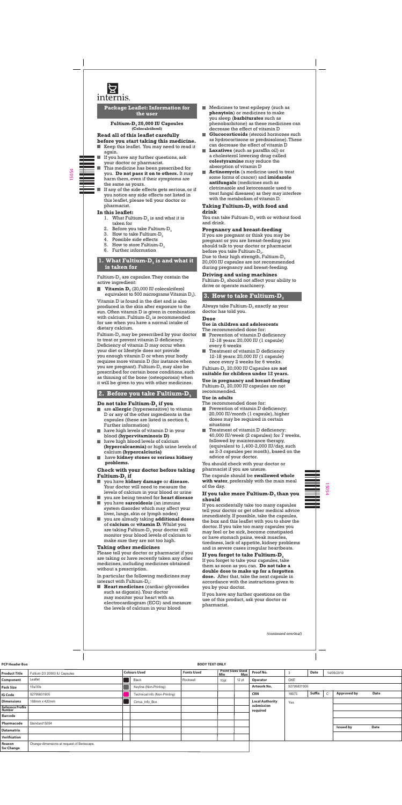

**Package Leaflet: Information for the user**

Fultium-D<sub>3</sub> 20,000 IU Capsules **(Colecalciferol)**

#### **Read all of this leaflet carefully before you start taking this medicine.**

- Keep this leaflet. You may need to read it again.
- If you have any further questions, ask . your doctor or pharmacist.
	- This medicine has been prescribed for you. **Do not pass it on to others.** It may harm them, even if their symptoms are the same as yours.
	- If any of the side effects gets serious, or if you notice any side effects not listed in this leaflet, please tell your doctor or pharmacist.

- 1. What Fultium- $D_3$  is and what it is taken for
- 2.  $\,$  Before you take Fultium-D $_3$
- 3.  $\,$  How to take Fultium-D $_{3}$
- 4. Possible side effects
- 5. How to store Fultium- $D_3$
- 6. Further information

# **1. What Fultium-D<sub>3</sub> is and what it is taken for**

Fultium- $D_3$  are capsules. They contain the active ingredient:

**Vitamin D<sub>3</sub>** (20,000 IU colecalciferol equivalent to 500 micrograms Vitamin  $D_3$ ).

### **In this leaflet:**

Fultium- $D_3$  may be prescribed by your doctor to treat or prevent vitamin D deficiency. Deficiency of vitamin D may occur when your diet or lifestyle does not provide you enough vitamin D or when your body requires more vitamin D (for instance when you are pregnant). Fultium- $D_3$  may also be prescribed for certain bone conditions, such as thinning of the bone (osteoporosis) when it will be given to you with other medicines.

# **2. Before you take Fultium-D**<sub>3</sub>

# **Do not take Fultium-D<sub>3</sub> if you**

- **allergic** (hypersensitive) to vitamin D or any of the other ingredients in the capsules (these are listed in section 6, Further information)
- have high levels of vitamin D in your blood **(hypervitaminosis D)**
- **have high blood levels of calcium (hypercalcaemia)** or high urine levels of calcium **(hypercalciuria)**
- have **kidney stones or serious kidney problems.**

#### **Check with your doctor before taking Fultium-D<sub>3</sub>** if

Vitamin D is found in the diet and is also produced in the skin after exposure to the sun. Often vitamin D is given in combination with calcium. Fultium- $D_3$  is recommended for use when you have a normal intake of dietary calcium.

In particular the following medicines may interact with Fultium- $D_3$ :

**Heart medicines** (cardiac glycosides such as digoxin).Your doctor may monitor your heart with an electrocardiogram (ECG) and measure the levels of calcium in your blood

#### **Taking Fultium-D<sub>3</sub> with food and drink**

You can take Fultium- $D_3$  with or without food and drink.

If you are pregnant or think you may be pregnant or you are breast-feeding you should talk to your doctor or pharmacist before you take Fultium- $D_3$ .

Due to their high strength, Fultium- $D_3$ 20,000 IU capsules are not recommended during pregnancy and breast-feeding.

Fultium- $D_3$  should not affect your ability to drive or operate machinery.

# **3. How to take Fultium-D**<sub>3</sub>

Always take Fultium- $D_3$  exactly as your doctor has told you.

- you have **kidney damage** or **disease.** Your doctor will need to measure the levels of calcium in your blood or urine п
- you are being treated for **heart disease In the** you have **sarcoidosis** (an immune
- $\blacksquare$  Prevention of vitamin D deficiency 12-18 years: 20,000 IU (1 capsule) every 6 weeks
- **Treatment of vitamin D deficiency** 12-18 years: 20,000 IU (1 capsule) once every 2 weeks for 6 weeks.

- system disorder which may affect your liver, lungs, skin or lymph nodes)
- you are already taking **additional doses** of **calcium** or **vitamin D.** Whilst you are taking Fultium- $D_3$  your doctor will monitor your blood levels of calcium to make sure they are not too high.

# **Taking other medicines**

#### **If you take more Fultium-D<sub>3</sub> than you should**

Please tell your doctor or pharmacist if you are taking or have recently taken any other medicines, including medicines obtained without a prescription.

- Medicines to treat epilepsy (such as **phenytoin**) or medicines to make you sleep (**barbiturates** such as phenobarbitone) as these medicines can decrease the effect of vitamin D
- **Glucocorticoids** (steroid hormones such as hydrocortisone or prednisolone). These can decrease the effect of vitamin D
- **Laxatives** (such as paraffin oil) or a cholesterol lowering drug called **colestyramine** may reduce the absorption of vitamin D
- **Actinomycin** (a medicine used to treat some forms of cancer) and **imidazole antifungals** (medicines such as clotrimazole and ketoconazole used to treat fungal diseases) as they may interfere with the metabolism of vitamin D.

#### **Pregnancy and breast-feeding**

# **Driving and using machines**

# **Dose**

#### **Use in children and adolescents** The recommended dose for:

Fultium-D3 20,000 IU Capsules are **not suitable for children under 12 years.**

**Use in pregnancy and breast-feeding** Fultium- $D_3$  20,000 IU capsules are not recommended.

#### **Use in adults**

The recommended dose for:

- Prevention of vitamin D deficiency: 20,000 IU/month (1 capsule), higher doses may be required in certain situations
- Treatment of vitamin D deficiency: 40,000 IU/week (2 capsules) for 7 weeks, followed by maintenance therapy, (equivalent to 1,400-2,000 IU/day, such as 2-3 capsules per month), based on the advice of your doctor.

You should check with your doctor or pharmacist if you are unsure.

The capsule should be **swallowed whole with water**, preferably with the main meal of the day.

If you accidentally take too many capsules

tell your doctor or get other medical advice immediately. If possible, take the capsules, the box and this leaflet with you to show the doctor. If you take too many capsules you may feel or be sick, become constipated or have stomach pains, weak muscles, tiredness, lack of appetite, kidney problems and in severe cases irregular heartbeats.

# **If you forget to take Fultium-D<sub>3</sub>**

If you forget to take your capsules, take them as soon as you can. **Do not take a double dose to make up for a forgotten dose.** After that, take the next capsule in accordance with the instructions given to you by your doctor.

If you have any further questions on the use of this product, ask your doctor or pharmacist.

*(continued overleaf)*